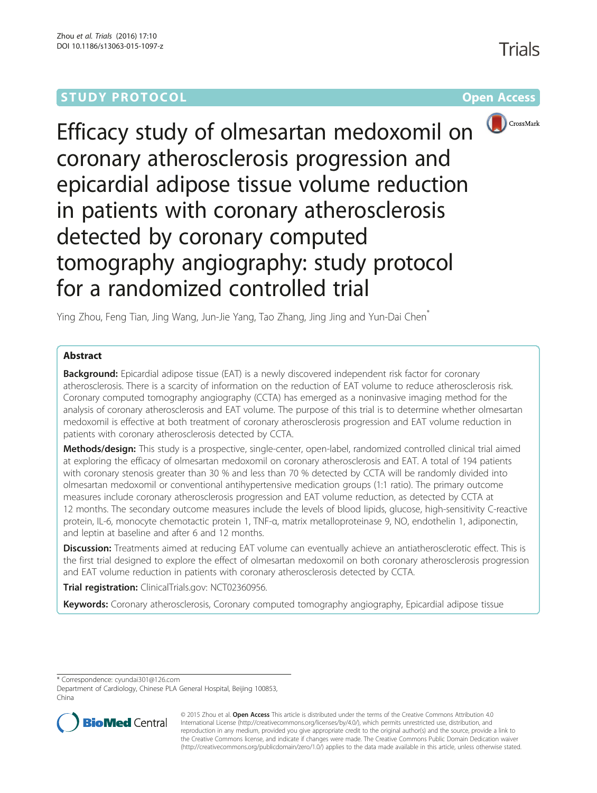# **STUDY PROTOCOL CONSUMING THE RESERVE ACCESS**



Efficacy study of olmesartan medoxomil on coronary atherosclerosis progression and epicardial adipose tissue volume reduction in patients with coronary atherosclerosis detected by coronary computed tomography angiography: study protocol for a randomized controlled trial

Ying Zhou, Feng Tian, Jing Wang, Jun-Jie Yang, Tao Zhang, Jing Jing and Yun-Dai Chen\*

# Abstract

**Background:** Epicardial adipose tissue (EAT) is a newly discovered independent risk factor for coronary atherosclerosis. There is a scarcity of information on the reduction of EAT volume to reduce atherosclerosis risk. Coronary computed tomography angiography (CCTA) has emerged as a noninvasive imaging method for the analysis of coronary atherosclerosis and EAT volume. The purpose of this trial is to determine whether olmesartan medoxomil is effective at both treatment of coronary atherosclerosis progression and EAT volume reduction in patients with coronary atherosclerosis detected by CCTA.

Methods/design: This study is a prospective, single-center, open-label, randomized controlled clinical trial aimed at exploring the efficacy of olmesartan medoxomil on coronary atherosclerosis and EAT. A total of 194 patients with coronary stenosis greater than 30 % and less than 70 % detected by CCTA will be randomly divided into olmesartan medoxomil or conventional antihypertensive medication groups (1:1 ratio). The primary outcome measures include coronary atherosclerosis progression and EAT volume reduction, as detected by CCTA at 12 months. The secondary outcome measures include the levels of blood lipids, glucose, high-sensitivity C-reactive protein, IL-6, monocyte chemotactic protein 1, TNF-α, matrix metalloproteinase 9, NO, endothelin 1, adiponectin, and leptin at baseline and after 6 and 12 months.

**Discussion:** Treatments aimed at reducing EAT volume can eventually achieve an antiatherosclerotic effect. This is the first trial designed to explore the effect of olmesartan medoxomil on both coronary atherosclerosis progression and EAT volume reduction in patients with coronary atherosclerosis detected by CCTA.

Trial registration: ClinicalTrials.gov: [NCT02360956.](https://clinicaltrials.gov/ct2/show/NCT02360956?term=NCT02360956&rank=1)

**Keywords:** Coronary atherosclerosis, Coronary computed tomography angiography, Epicardial adipose tissue

\* Correspondence: [cyundai301@126.com](mailto:cyundai301@126.com)

Department of Cardiology, Chinese PLA General Hospital, Beijing 100853, China



© 2015 Zhou et al. Open Access This article is distributed under the terms of the Creative Commons Attribution 4.0 International License [\(http://creativecommons.org/licenses/by/4.0/](http://creativecommons.org/licenses/by/4.0/)), which permits unrestricted use, distribution, and reproduction in any medium, provided you give appropriate credit to the original author(s) and the source, provide a link to the Creative Commons license, and indicate if changes were made. The Creative Commons Public Domain Dedication waiver [\(http://creativecommons.org/publicdomain/zero/1.0/](http://creativecommons.org/publicdomain/zero/1.0/)) applies to the data made available in this article, unless otherwise stated.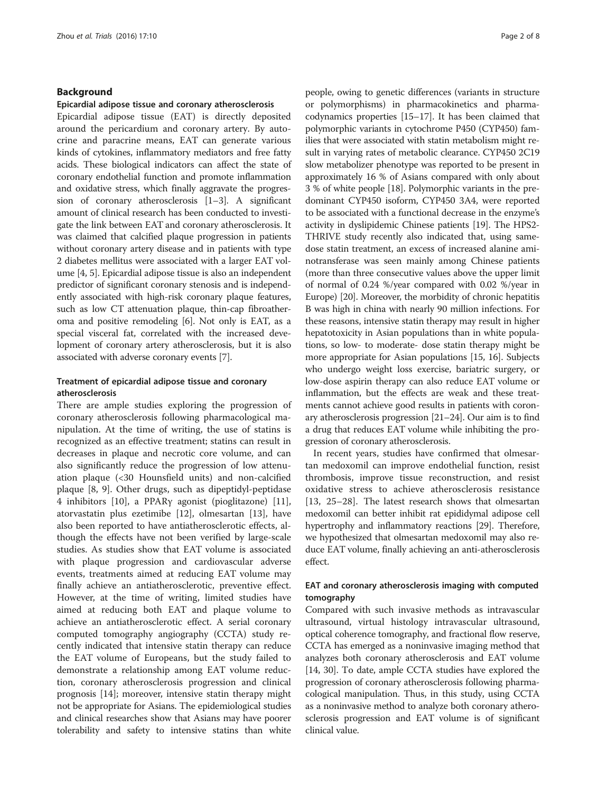## Background

#### Epicardial adipose tissue and coronary atherosclerosis

Epicardial adipose tissue (EAT) is directly deposited around the pericardium and coronary artery. By autocrine and paracrine means, EAT can generate various kinds of cytokines, inflammatory mediators and free fatty acids. These biological indicators can affect the state of coronary endothelial function and promote inflammation and oxidative stress, which finally aggravate the progression of coronary atherosclerosis [\[1](#page-6-0)–[3](#page-6-0)]. A significant amount of clinical research has been conducted to investigate the link between EAT and coronary atherosclerosis. It was claimed that calcified plaque progression in patients without coronary artery disease and in patients with type 2 diabetes mellitus were associated with a larger EAT volume [\[4, 5](#page-6-0)]. Epicardial adipose tissue is also an independent predictor of significant coronary stenosis and is independently associated with high-risk coronary plaque features, such as low CT attenuation plaque, thin-cap fibroatheroma and positive remodeling [[6](#page-6-0)]. Not only is EAT, as a special visceral fat, correlated with the increased development of coronary artery atherosclerosis, but it is also associated with adverse coronary events [[7](#page-6-0)].

# Treatment of epicardial adipose tissue and coronary atherosclerosis

There are ample studies exploring the progression of coronary atherosclerosis following pharmacological manipulation. At the time of writing, the use of statins is recognized as an effective treatment; statins can result in decreases in plaque and necrotic core volume, and can also significantly reduce the progression of low attenuation plaque (<30 Hounsfield units) and non-calcified plaque [[8, 9\]](#page-6-0). Other drugs, such as dipeptidyl-peptidase 4 inhibitors [\[10\]](#page-6-0), a PPARγ agonist (pioglitazone) [\[11](#page-6-0)], atorvastatin plus ezetimibe [[12\]](#page-6-0), olmesartan [[13\]](#page-6-0), have also been reported to have antiatherosclerotic effects, although the effects have not been verified by large-scale studies. As studies show that EAT volume is associated with plaque progression and cardiovascular adverse events, treatments aimed at reducing EAT volume may finally achieve an antiatherosclerotic, preventive effect. However, at the time of writing, limited studies have aimed at reducing both EAT and plaque volume to achieve an antiatherosclerotic effect. A serial coronary computed tomography angiography (CCTA) study recently indicated that intensive statin therapy can reduce the EAT volume of Europeans, but the study failed to demonstrate a relationship among EAT volume reduction, coronary atherosclerosis progression and clinical prognosis [[14\]](#page-6-0); moreover, intensive statin therapy might not be appropriate for Asians. The epidemiological studies and clinical researches show that Asians may have poorer tolerability and safety to intensive statins than white

people, owing to genetic differences (variants in structure or polymorphisms) in pharmacokinetics and pharmacodynamics properties [\[15](#page-6-0)–[17](#page-6-0)]. It has been claimed that polymorphic variants in cytochrome P450 (CYP450) families that were associated with statin metabolism might result in varying rates of metabolic clearance. CYP450 2C19 slow metabolizer phenotype was reported to be present in approximately 16 % of Asians compared with only about 3 % of white people [[18](#page-6-0)]. Polymorphic variants in the predominant CYP450 isoform, CYP450 3A4, were reported to be associated with a functional decrease in the enzyme's activity in dyslipidemic Chinese patients [[19](#page-6-0)]. The HPS2- THRIVE study recently also indicated that, using samedose statin treatment, an excess of increased alanine aminotransferase was seen mainly among Chinese patients (more than three consecutive values above the upper limit of normal of 0.24 %/year compared with 0.02 %/year in Europe) [\[20](#page-6-0)]. Moreover, the morbidity of chronic hepatitis B was high in china with nearly 90 million infections. For these reasons, intensive statin therapy may result in higher hepatotoxicity in Asian populations than in white populations, so low- to moderate- dose statin therapy might be more appropriate for Asian populations [\[15, 16\]](#page-6-0). Subjects who undergo weight loss exercise, bariatric surgery, or low-dose aspirin therapy can also reduce EAT volume or inflammation, but the effects are weak and these treatments cannot achieve good results in patients with coronary atherosclerosis progression [\[21](#page-6-0)–[24\]](#page-6-0). Our aim is to find a drug that reduces EAT volume while inhibiting the progression of coronary atherosclerosis.

In recent years, studies have confirmed that olmesartan medoxomil can improve endothelial function, resist thrombosis, improve tissue reconstruction, and resist oxidative stress to achieve atherosclerosis resistance [[13, 25](#page-6-0)–[28\]](#page-6-0). The latest research shows that olmesartan medoxomil can better inhibit rat epididymal adipose cell hypertrophy and inflammatory reactions [\[29\]](#page-7-0). Therefore, we hypothesized that olmesartan medoxomil may also reduce EAT volume, finally achieving an anti-atherosclerosis effect.

# EAT and coronary atherosclerosis imaging with computed tomography

Compared with such invasive methods as intravascular ultrasound, virtual histology intravascular ultrasound, optical coherence tomography, and fractional flow reserve, CCTA has emerged as a noninvasive imaging method that analyzes both coronary atherosclerosis and EAT volume [[14](#page-6-0), [30\]](#page-7-0). To date, ample CCTA studies have explored the progression of coronary atherosclerosis following pharmacological manipulation. Thus, in this study, using CCTA as a noninvasive method to analyze both coronary atherosclerosis progression and EAT volume is of significant clinical value.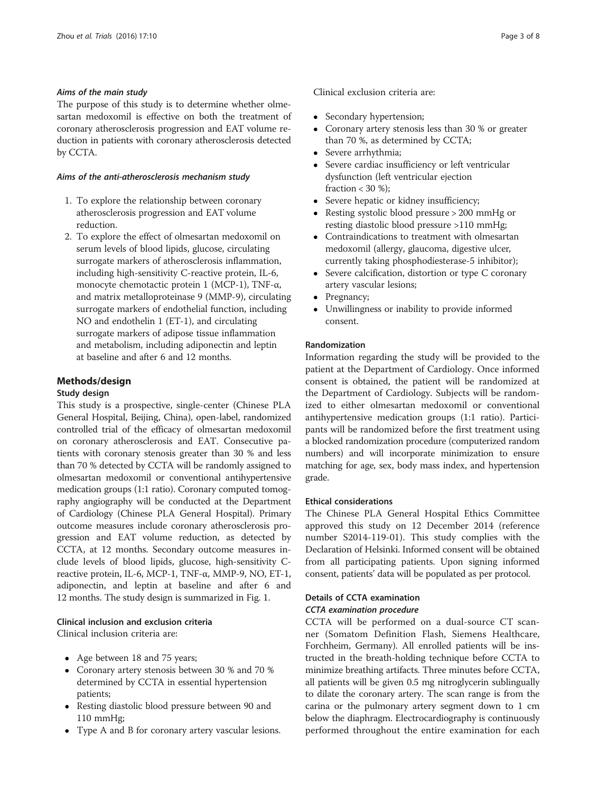## Aims of the main study

The purpose of this study is to determine whether olmesartan medoxomil is effective on both the treatment of coronary atherosclerosis progression and EAT volume reduction in patients with coronary atherosclerosis detected by CCTA.

## Aims of the anti-atherosclerosis mechanism study

- 1. To explore the relationship between coronary atherosclerosis progression and EAT volume reduction.
- 2. To explore the effect of olmesartan medoxomil on serum levels of blood lipids, glucose, circulating surrogate markers of atherosclerosis inflammation, including high-sensitivity C-reactive protein, IL-6, monocyte chemotactic protein 1 (MCP-1), TNF-α, and matrix metalloproteinase 9 (MMP-9), circulating surrogate markers of endothelial function, including NO and endothelin 1 (ET-1), and circulating surrogate markers of adipose tissue inflammation and metabolism, including adiponectin and leptin at baseline and after 6 and 12 months.

# Methods/design

## Study design

This study is a prospective, single-center (Chinese PLA General Hospital, Beijing, China), open-label, randomized controlled trial of the efficacy of olmesartan medoxomil on coronary atherosclerosis and EAT. Consecutive patients with coronary stenosis greater than 30 % and less than 70 % detected by CCTA will be randomly assigned to olmesartan medoxomil or conventional antihypertensive medication groups (1:1 ratio). Coronary computed tomography angiography will be conducted at the Department of Cardiology (Chinese PLA General Hospital). Primary outcome measures include coronary atherosclerosis progression and EAT volume reduction, as detected by CCTA, at 12 months. Secondary outcome measures include levels of blood lipids, glucose, high-sensitivity Creactive protein, IL-6, MCP-1, TNF-α, MMP-9, NO, ET-1, adiponectin, and leptin at baseline and after 6 and 12 months. The study design is summarized in Fig. [1.](#page-3-0)

# Clinical inclusion and exclusion criteria

Clinical inclusion criteria are:

- Age between 18 and 75 years;
- Coronary artery stenosis between 30 % and 70 % determined by CCTA in essential hypertension patients;
- Resting diastolic blood pressure between 90 and 110 mmHg;
- Type A and B for coronary artery vascular lesions.
- Secondary hypertension;<br>• Coronary artery stenosis
- Coronary artery stenosis less than 30 % or greater than 70 %, as determined by CCTA;
- Severe arrhythmia;<br>• Severe cardiac insu
- Severe cardiac insufficiency or left ventricular dysfunction (left ventricular ejection fraction  $< 30 \%$ ;
- Severe hepatic or kidney insufficiency;
- Resting systolic blood pressure > 200 mmHg or resting diastolic blood pressure >110 mmHg;
- Contraindications to treatment with olmesartan medoxomil (allergy, glaucoma, digestive ulcer, currently taking phosphodiesterase-5 inhibitor);
- Severe calcification, distortion or type C coronary artery vascular lesions;
- Pregnancy;
- Unwillingness or inability to provide informed consent.

## Randomization

Information regarding the study will be provided to the patient at the Department of Cardiology. Once informed consent is obtained, the patient will be randomized at the Department of Cardiology. Subjects will be randomized to either olmesartan medoxomil or conventional antihypertensive medication groups (1:1 ratio). Participants will be randomized before the first treatment using a blocked randomization procedure (computerized random numbers) and will incorporate minimization to ensure matching for age, sex, body mass index, and hypertension grade.

### Ethical considerations

The Chinese PLA General Hospital Ethics Committee approved this study on 12 December 2014 (reference number S2014-119-01). This study complies with the Declaration of Helsinki. Informed consent will be obtained from all participating patients. Upon signing informed consent, patients' data will be populated as per protocol.

# Details of CCTA examination CCTA examination procedure

CCTA will be performed on a dual-source CT scanner (Somatom Definition Flash, Siemens Healthcare, Forchheim, Germany). All enrolled patients will be instructed in the breath-holding technique before CCTA to minimize breathing artifacts. Three minutes before CCTA, all patients will be given 0.5 mg nitroglycerin sublingually to dilate the coronary artery. The scan range is from the carina or the pulmonary artery segment down to 1 cm below the diaphragm. Electrocardiography is continuously performed throughout the entire examination for each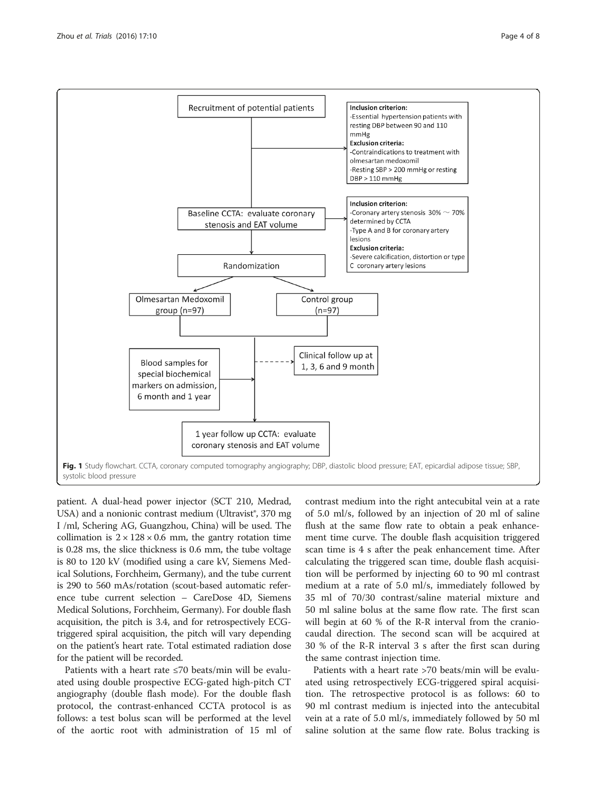<span id="page-3-0"></span>

patient. A dual-head power injector (SCT 210, Medrad, USA) and a nonionic contrast medium (Ultravist®, 370 mg I /ml, Schering AG, Guangzhou, China) will be used. The collimation is  $2 \times 128 \times 0.6$  mm, the gantry rotation time is 0.28 ms, the slice thickness is 0.6 mm, the tube voltage is 80 to 120 kV (modified using a care kV, Siemens Medical Solutions, Forchheim, Germany), and the tube current is 290 to 560 mAs/rotation (scout-based automatic reference tube current selection – CareDose 4D, Siemens Medical Solutions, Forchheim, Germany). For double flash acquisition, the pitch is 3.4, and for retrospectively ECGtriggered spiral acquisition, the pitch will vary depending on the patient's heart rate. Total estimated radiation dose for the patient will be recorded.

Patients with a heart rate ≤70 beats/min will be evaluated using double prospective ECG-gated high-pitch CT angiography (double flash mode). For the double flash protocol, the contrast-enhanced CCTA protocol is as follows: a test bolus scan will be performed at the level of the aortic root with administration of 15 ml of

contrast medium into the right antecubital vein at a rate of 5.0 ml/s, followed by an injection of 20 ml of saline flush at the same flow rate to obtain a peak enhancement time curve. The double flash acquisition triggered scan time is 4 s after the peak enhancement time. After calculating the triggered scan time, double flash acquisition will be performed by injecting 60 to 90 ml contrast medium at a rate of 5.0 ml/s, immediately followed by 35 ml of 70/30 contrast/saline material mixture and 50 ml saline bolus at the same flow rate. The first scan will begin at 60 % of the R-R interval from the craniocaudal direction. The second scan will be acquired at 30 % of the R-R interval 3 s after the first scan during the same contrast injection time.

Patients with a heart rate >70 beats/min will be evaluated using retrospectively ECG-triggered spiral acquisition. The retrospective protocol is as follows: 60 to 90 ml contrast medium is injected into the antecubital vein at a rate of 5.0 ml/s, immediately followed by 50 ml saline solution at the same flow rate. Bolus tracking is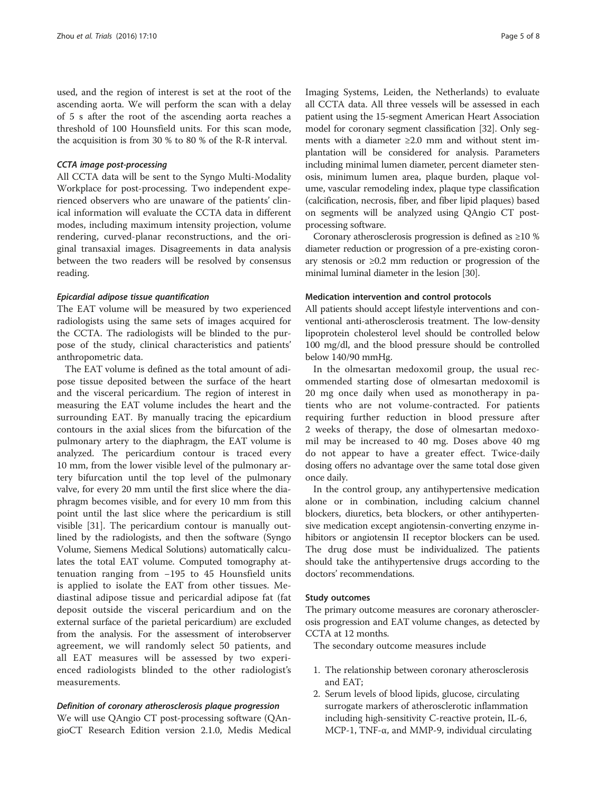used, and the region of interest is set at the root of the ascending aorta. We will perform the scan with a delay of 5 s after the root of the ascending aorta reaches a threshold of 100 Hounsfield units. For this scan mode, the acquisition is from 30 % to 80 % of the R-R interval.

#### CCTA image post-processing

All CCTA data will be sent to the Syngo Multi-Modality Workplace for post-processing. Two independent experienced observers who are unaware of the patients' clinical information will evaluate the CCTA data in different modes, including maximum intensity projection, volume rendering, curved-planar reconstructions, and the original transaxial images. Disagreements in data analysis between the two readers will be resolved by consensus reading.

#### Epicardial adipose tissue quantification

The EAT volume will be measured by two experienced radiologists using the same sets of images acquired for the CCTA. The radiologists will be blinded to the purpose of the study, clinical characteristics and patients' anthropometric data.

The EAT volume is defined as the total amount of adipose tissue deposited between the surface of the heart and the visceral pericardium. The region of interest in measuring the EAT volume includes the heart and the surrounding EAT. By manually tracing the epicardium contours in the axial slices from the bifurcation of the pulmonary artery to the diaphragm, the EAT volume is analyzed. The pericardium contour is traced every 10 mm, from the lower visible level of the pulmonary artery bifurcation until the top level of the pulmonary valve, for every 20 mm until the first slice where the diaphragm becomes visible, and for every 10 mm from this point until the last slice where the pericardium is still visible [[31\]](#page-7-0). The pericardium contour is manually outlined by the radiologists, and then the software (Syngo Volume, Siemens Medical Solutions) automatically calculates the total EAT volume. Computed tomography attenuation ranging from −195 to 45 Hounsfield units is applied to isolate the EAT from other tissues. Mediastinal adipose tissue and pericardial adipose fat (fat deposit outside the visceral pericardium and on the external surface of the parietal pericardium) are excluded from the analysis. For the assessment of interobserver agreement, we will randomly select 50 patients, and all EAT measures will be assessed by two experienced radiologists blinded to the other radiologist's measurements.

#### Definition of coronary atherosclerosis plaque progression

We will use QAngio CT post-processing software (QAngioCT Research Edition version 2.1.0, Medis Medical Imaging Systems, Leiden, the Netherlands) to evaluate all CCTA data. All three vessels will be assessed in each patient using the 15-segment American Heart Association model for coronary segment classification [\[32\]](#page-7-0). Only segments with a diameter ≥2.0 mm and without stent implantation will be considered for analysis. Parameters including minimal lumen diameter, percent diameter stenosis, minimum lumen area, plaque burden, plaque volume, vascular remodeling index, plaque type classification (calcification, necrosis, fiber, and fiber lipid plaques) based on segments will be analyzed using QAngio CT postprocessing software.

Coronary atherosclerosis progression is defined as  $\geq 10\%$ diameter reduction or progression of a pre-existing coronary stenosis or ≥0.2 mm reduction or progression of the minimal luminal diameter in the lesion [\[30\]](#page-7-0).

#### Medication intervention and control protocols

All patients should accept lifestyle interventions and conventional anti-atherosclerosis treatment. The low-density lipoprotein cholesterol level should be controlled below 100 mg/dl, and the blood pressure should be controlled below 140/90 mmHg.

In the olmesartan medoxomil group, the usual recommended starting dose of olmesartan medoxomil is 20 mg once daily when used as monotherapy in patients who are not volume-contracted. For patients requiring further reduction in blood pressure after 2 weeks of therapy, the dose of olmesartan medoxomil may be increased to 40 mg. Doses above 40 mg do not appear to have a greater effect. Twice-daily dosing offers no advantage over the same total dose given once daily.

In the control group, any antihypertensive medication alone or in combination, including calcium channel blockers, diuretics, beta blockers, or other antihypertensive medication except angiotensin-converting enzyme inhibitors or angiotensin II receptor blockers can be used. The drug dose must be individualized. The patients should take the antihypertensive drugs according to the doctors' recommendations.

#### Study outcomes

The primary outcome measures are coronary atherosclerosis progression and EAT volume changes, as detected by CCTA at 12 months.

The secondary outcome measures include

- 1. The relationship between coronary atherosclerosis and EAT;
- 2. Serum levels of blood lipids, glucose, circulating surrogate markers of atherosclerotic inflammation including high-sensitivity C-reactive protein, IL-6, MCP-1, TNF-α, and MMP-9, individual circulating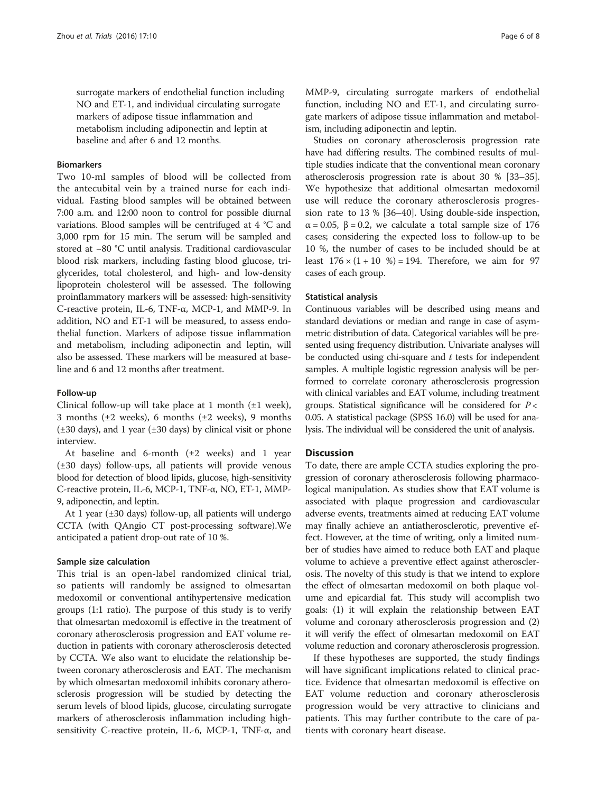surrogate markers of endothelial function including NO and ET-1, and individual circulating surrogate markers of adipose tissue inflammation and metabolism including adiponectin and leptin at baseline and after 6 and 12 months.

# Biomarkers

Two 10-ml samples of blood will be collected from the antecubital vein by a trained nurse for each individual. Fasting blood samples will be obtained between 7:00 a.m. and 12:00 noon to control for possible diurnal variations. Blood samples will be centrifuged at 4 °C and 3,000 rpm for 15 min. The serum will be sampled and stored at −80 °C until analysis. Traditional cardiovascular blood risk markers, including fasting blood glucose, triglycerides, total cholesterol, and high- and low-density lipoprotein cholesterol will be assessed. The following proinflammatory markers will be assessed: high-sensitivity C-reactive protein, IL-6, TNF-α, MCP-1, and MMP-9. In addition, NO and ET-1 will be measured, to assess endothelial function. Markers of adipose tissue inflammation and metabolism, including adiponectin and leptin, will also be assessed. These markers will be measured at baseline and 6 and 12 months after treatment.

#### Follow-up

Clinical follow-up will take place at 1 month  $(\pm 1$  week), 3 months ( $\pm 2$  weeks), 6 months ( $\pm 2$  weeks), 9 months (±30 days), and 1 year (±30 days) by clinical visit or phone interview.

At baseline and 6-month (±2 weeks) and 1 year (±30 days) follow-ups, all patients will provide venous blood for detection of blood lipids, glucose, high-sensitivity C-reactive protein, IL-6, MCP-1, TNF-α, NO, ET-1, MMP-9, adiponectin, and leptin.

At 1 year (±30 days) follow-up, all patients will undergo CCTA (with QAngio CT post-processing software).We anticipated a patient drop-out rate of 10 %.

#### Sample size calculation

This trial is an open-label randomized clinical trial, so patients will randomly be assigned to olmesartan medoxomil or conventional antihypertensive medication groups (1:1 ratio). The purpose of this study is to verify that olmesartan medoxomil is effective in the treatment of coronary atherosclerosis progression and EAT volume reduction in patients with coronary atherosclerosis detected by CCTA. We also want to elucidate the relationship between coronary atherosclerosis and EAT. The mechanism by which olmesartan medoxomil inhibits coronary atherosclerosis progression will be studied by detecting the serum levels of blood lipids, glucose, circulating surrogate markers of atherosclerosis inflammation including highsensitivity C-reactive protein, IL-6, MCP-1, TNF-α, and

MMP-9, circulating surrogate markers of endothelial function, including NO and ET-1, and circulating surrogate markers of adipose tissue inflammation and metabolism, including adiponectin and leptin.

Studies on coronary atherosclerosis progression rate have had differing results. The combined results of multiple studies indicate that the conventional mean coronary atherosclerosis progression rate is about 30 % [\[33](#page-7-0)–[35](#page-7-0)]. We hypothesize that additional olmesartan medoxomil use will reduce the coronary atherosclerosis progression rate to 13 % [\[36](#page-7-0)–[40](#page-7-0)]. Using double-side inspection,  $\alpha = 0.05$ ,  $\beta = 0.2$ , we calculate a total sample size of 176 cases; considering the expected loss to follow-up to be 10 %, the number of cases to be included should be at least  $176 \times (1 + 10 \%) = 194$ . Therefore, we aim for 97 cases of each group.

#### Statistical analysis

Continuous variables will be described using means and standard deviations or median and range in case of asymmetric distribution of data. Categorical variables will be presented using frequency distribution. Univariate analyses will be conducted using chi-square and  $t$  tests for independent samples. A multiple logistic regression analysis will be performed to correlate coronary atherosclerosis progression with clinical variables and EAT volume, including treatment groups. Statistical significance will be considered for  $P <$ 0.05. A statistical package (SPSS 16.0) will be used for analysis. The individual will be considered the unit of analysis.

# **Discussion**

To date, there are ample CCTA studies exploring the progression of coronary atherosclerosis following pharmacological manipulation. As studies show that EAT volume is associated with plaque progression and cardiovascular adverse events, treatments aimed at reducing EAT volume may finally achieve an antiatherosclerotic, preventive effect. However, at the time of writing, only a limited number of studies have aimed to reduce both EAT and plaque volume to achieve a preventive effect against atherosclerosis. The novelty of this study is that we intend to explore the effect of olmesartan medoxomil on both plaque volume and epicardial fat. This study will accomplish two goals: (1) it will explain the relationship between EAT volume and coronary atherosclerosis progression and (2) it will verify the effect of olmesartan medoxomil on EAT volume reduction and coronary atherosclerosis progression.

If these hypotheses are supported, the study findings will have significant implications related to clinical practice. Evidence that olmesartan medoxomil is effective on EAT volume reduction and coronary atherosclerosis progression would be very attractive to clinicians and patients. This may further contribute to the care of patients with coronary heart disease.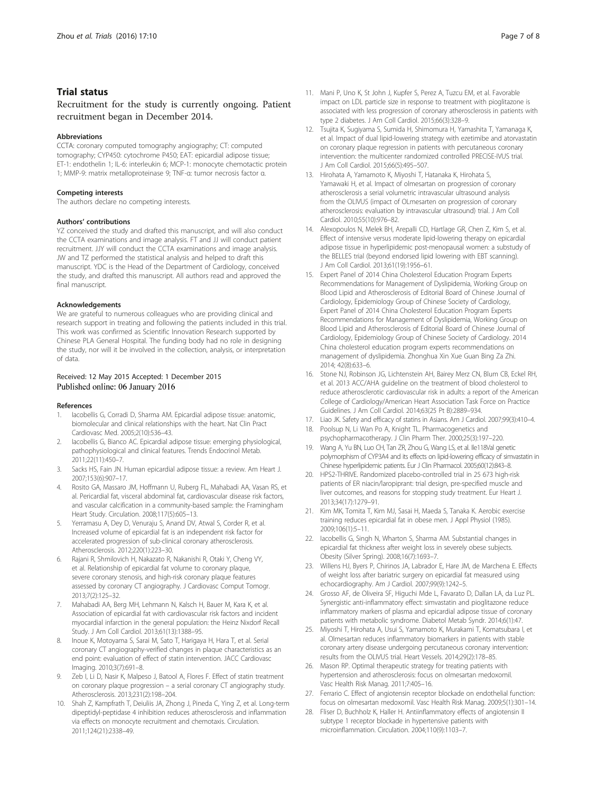# <span id="page-6-0"></span>Trial status

Recruitment for the study is currently ongoing. Patient recruitment began in December 2014.

#### Abbreviations

CCTA: coronary computed tomography angiography; CT: computed tomography; CYP450: cytochrome P450; EAT: epicardial adipose tissue; ET-1: endothelin 1; IL-6: interleukin 6; MCP-1: monocyte chemotactic protein 1; MMP-9: matrix metalloproteinase 9; TNF-α: tumor necrosis factor α.

#### Competing interests

The authors declare no competing interests.

#### Authors' contributions

YZ conceived the study and drafted this manuscript, and will also conduct the CCTA examinations and image analysis. FT and JJ will conduct patient recruitment. JJY will conduct the CCTA examinations and image analysis. JW and TZ performed the statistical analysis and helped to draft this manuscript. YDC is the Head of the Department of Cardiology, conceived the study, and drafted this manuscript. All authors read and approved the final manuscript.

#### Acknowledgements

We are grateful to numerous colleagues who are providing clinical and research support in treating and following the patients included in this trial. This work was confirmed as Scientific Innovation Research supported by Chinese PLA General Hospital. The funding body had no role in designing the study, nor will it be involved in the collection, analysis, or interpretation of data.

#### Received: 12 May 2015 Accepted: 1 December 2015 Published online: 06 January 2016

#### References

- 1. Iacobellis G, Corradi D, Sharma AM. Epicardial adipose tissue: anatomic, biomolecular and clinical relationships with the heart. Nat Clin Pract Cardiovasc Med. 2005;2(10):536–43.
- lacobellis G, Bianco AC. Epicardial adipose tissue: emerging physiological, pathophysiological and clinical features. Trends Endocrinol Metab. 2011;22(11):450–7.
- 3. Sacks HS, Fain JN. Human epicardial adipose tissue: a review. Am Heart J. 2007;153(6):907–17.
- 4. Rosito GA, Massaro JM, Hoffmann U, Ruberg FL, Mahabadi AA, Vasan RS, et al. Pericardial fat, visceral abdominal fat, cardiovascular disease risk factors, and vascular calcification in a community-based sample: the Framingham Heart Study. Circulation. 2008;117(5):605–13.
- Yerramasu A, Dey D, Venuraju S, Anand DV, Atwal S, Corder R, et al. Increased volume of epicardial fat is an independent risk factor for accelerated progression of sub-clinical coronary atherosclerosis. Atherosclerosis. 2012;220(1):223–30.
- 6. Rajani R, Shmilovich H, Nakazato R, Nakanishi R, Otaki Y, Cheng VY, et al. Relationship of epicardial fat volume to coronary plaque, severe coronary stenosis, and high-risk coronary plaque features assessed by coronary CT angiography. J Cardiovasc Comput Tomogr. 2013;7(2):125–32.
- 7. Mahabadi AA, Berg MH, Lehmann N, Kalsch H, Bauer M, Kara K, et al. Association of epicardial fat with cardiovascular risk factors and incident myocardial infarction in the general population: the Heinz Nixdorf Recall Study. J Am Coll Cardiol. 2013;61(13):1388–95.
- 8. Inoue K, Motoyama S, Sarai M, Sato T, Harigaya H, Hara T, et al. Serial coronary CT angiography-verified changes in plaque characteristics as an end point: evaluation of effect of statin intervention. JACC Cardiovasc Imaging. 2010;3(7):691–8.
- Zeb I, Li D, Nasir K, Malpeso J, Batool A, Flores F. Effect of statin treatment on coronary plaque progression – a serial coronary CT angiography study. Atherosclerosis. 2013;231(2):198–204.
- 10. Shah Z, Kampfrath T, Deiuliis JA, Zhong J, Pineda C, Ying Z, et al. Long-term dipeptidyl-peptidase 4 inhibition reduces atherosclerosis and inflammation via effects on monocyte recruitment and chemotaxis. Circulation. 2011;124(21):2338–49.
- 11. Mani P, Uno K, St John J, Kupfer S, Perez A, Tuzcu EM, et al. Favorable impact on LDL particle size in response to treatment with pioglitazone is associated with less progression of coronary atherosclerosis in patients with type 2 diabetes. J Am Coll Cardiol. 2015;66(3):328–9.
- 12. Tsujita K, Sugiyama S, Sumida H, Shimomura H, Yamashita T, Yamanaga K, et al. Impact of dual lipid-lowering strategy with ezetimibe and atorvastatin on coronary plaque regression in patients with percutaneous coronary intervention: the multicenter randomized controlled PRECISE-IVUS trial. J Am Coll Cardiol. 2015;66(5):495–507.
- 13. Hirohata A, Yamamoto K, Miyoshi T, Hatanaka K, Hirohata S, Yamawaki H, et al. Impact of olmesartan on progression of coronary atherosclerosis a serial volumetric intravascular ultrasound analysis from the OLIVUS (impact of OLmesarten on progression of coronary atherosclerosis: evaluation by intravascular ultrasound) trial. J Am Coll Cardiol. 2010;55(10):976–82.
- 14. Alexopoulos N, Melek BH, Arepalli CD, Hartlage GR, Chen Z, Kim S, et al. Effect of intensive versus moderate lipid-lowering therapy on epicardial adipose tissue in hyperlipidemic post-menopausal women: a substudy of the BELLES trial (beyond endorsed lipid lowering with EBT scanning). J Am Coll Cardiol. 2013;61(19):1956–61.
- 15. Expert Panel of 2014 China Cholesterol Education Program Experts Recommendations for Management of Dyslipidemia, Working Group on Blood Lipid and Atherosclerosis of Editorial Board of Chinese Journal of Cardiology, Epidemiology Group of Chinese Society of Cardiology, Expert Panel of 2014 China Cholesterol Education Program Experts Recommendations for Management of Dyslipidemia, Working Group on Blood Lipid and Atherosclerosis of Editorial Board of Chinese Journal of Cardiology, Epidemiology Group of Chinese Society of Cardiology. 2014 China cholesterol education program experts recommendations on management of dyslipidemia. Zhonghua Xin Xue Guan Bing Za Zhi. 2014; 42(8):633–6.
- 16. Stone NJ, Robinson JG, Lichtenstein AH, Bairey Merz CN, Blum CB, Eckel RH, et al. 2013 ACC/AHA guideline on the treatment of blood cholesterol to reduce atherosclerotic cardiovascular risk in adults: a report of the American College of Cardiology/American Heart Association Task Force on Practice Guidelines. J Am Coll Cardiol. 2014;63(25 Pt B):2889–934.
- 17. Liao JK. Safety and efficacy of statins in Asians. Am J Cardiol. 2007;99(3):410–4.
- 18. Poolsup N, Li Wan Po A, Knight TL. Pharmacogenetics and psychopharmacotherapy. J Clin Pharm Ther. 2000;25(3):197–220.
- 19. Wang A, Yu BN, Luo CH, Tan ZR, Zhou G, Wang LS, et al. Ile118Val genetic polymorphism of CYP3A4 and its effects on lipid-lowering efficacy of simvastatin in Chinese hyperlipidemic patients. Eur J Clin Pharmacol. 2005;60(12):843–8.
- 20. HPS2-THRIVE. Randomized placebo-controlled trial in 25 673 high-risk patients of ER niacin/laropiprant: trial design, pre-specified muscle and liver outcomes, and reasons for stopping study treatment. Eur Heart J. 2013;34(17):1279–91.
- 21. Kim MK, Tomita T, Kim MJ, Sasai H, Maeda S, Tanaka K. Aerobic exercise training reduces epicardial fat in obese men. J Appl Physiol (1985). 2009;106(1):5–11.
- 22. Iacobellis G, Singh N, Wharton S, Sharma AM. Substantial changes in epicardial fat thickness after weight loss in severely obese subjects. Obesity (Silver Spring). 2008;16(7):1693–7.
- 23. Willens HJ, Byers P, Chirinos JA, Labrador E, Hare JM, de Marchena E. Effects of weight loss after bariatric surgery on epicardial fat measured using echocardiography. Am J Cardiol. 2007;99(9):1242–5.
- 24. Grosso AF, de Oliveira SF, Higuchi Mde L, Favarato D, Dallan LA, da Luz PL. Synergistic anti-inflammatory effect: simvastatin and pioglitazone reduce inflammatory markers of plasma and epicardial adipose tissue of coronary patients with metabolic syndrome. Diabetol Metab Syndr. 2014;6(1):47.
- 25. Miyoshi T, Hirohata A, Usui S, Yamamoto K, Murakami T, Komatsubara I, et al. Olmesartan reduces inflammatory biomarkers in patients with stable coronary artery disease undergoing percutaneous coronary intervention: results from the OLIVUS trial. Heart Vessels. 2014;29(2):178–85.
- 26. Mason RP. Optimal therapeutic strategy for treating patients with hypertension and atherosclerosis: focus on olmesartan medoxomil. Vasc Health Risk Manag. 2011;7:405–16.
- 27. Ferrario C. Effect of angiotensin receptor blockade on endothelial function: focus on olmesartan medoxomil. Vasc Health Risk Manag. 2009;5(1):301–14.
- 28. Fliser D, Buchholz K, Haller H. Antiinflammatory effects of angiotensin II subtype 1 receptor blockade in hypertensive patients with microinflammation. Circulation. 2004;110(9):1103–7.